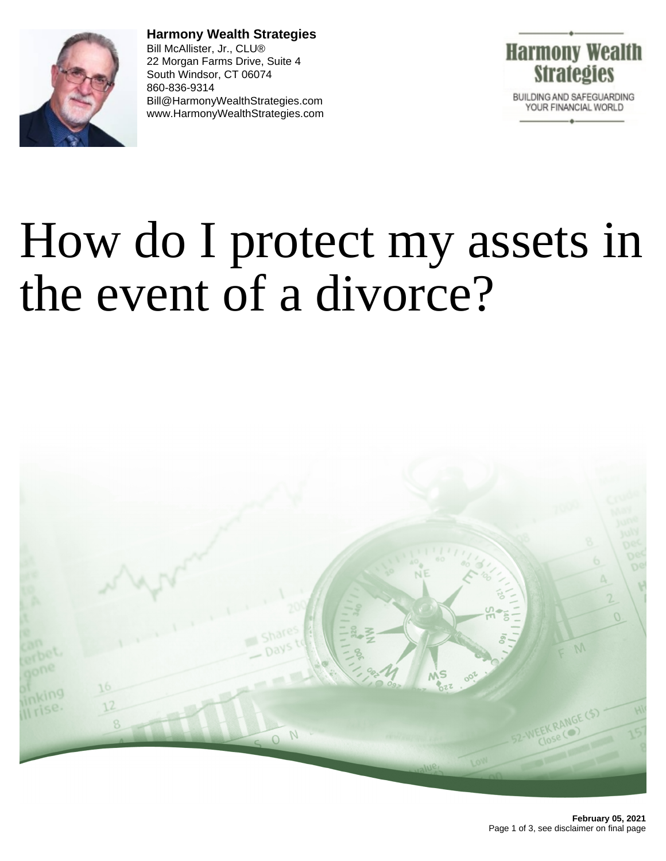

**Harmony Wealth Strategies** Bill McAllister, Jr., CLU® 22 Morgan Farms Drive, Suite 4 South Windsor, CT 06074 860-836-9314 Bill@HarmonyWealthStrategies.com www.HarmonyWealthStrategies.com



## How do I protect my assets in the event of a divorce?

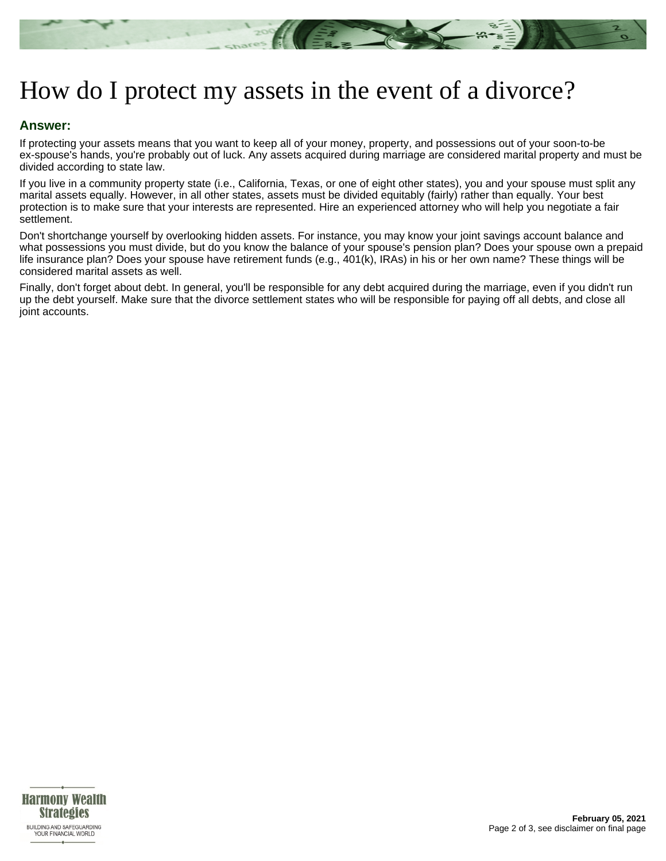

## How do I protect my assets in the event of a divorce?

## **Answer:**

If protecting your assets means that you want to keep all of your money, property, and possessions out of your soon-to-be ex-spouse's hands, you're probably out of luck. Any assets acquired during marriage are considered marital property and must be divided according to state law.

If you live in a community property state (i.e., California, Texas, or one of eight other states), you and your spouse must split any marital assets equally. However, in all other states, assets must be divided equitably (fairly) rather than equally. Your best protection is to make sure that your interests are represented. Hire an experienced attorney who will help you negotiate a fair settlement.

Don't shortchange yourself by overlooking hidden assets. For instance, you may know your joint savings account balance and what possessions you must divide, but do you know the balance of your spouse's pension plan? Does your spouse own a prepaid life insurance plan? Does your spouse have retirement funds (e.g., 401(k), IRAs) in his or her own name? These things will be considered marital assets as well.

Finally, don't forget about debt. In general, you'll be responsible for any debt acquired during the marriage, even if you didn't run up the debt yourself. Make sure that the divorce settlement states who will be responsible for paying off all debts, and close all joint accounts.